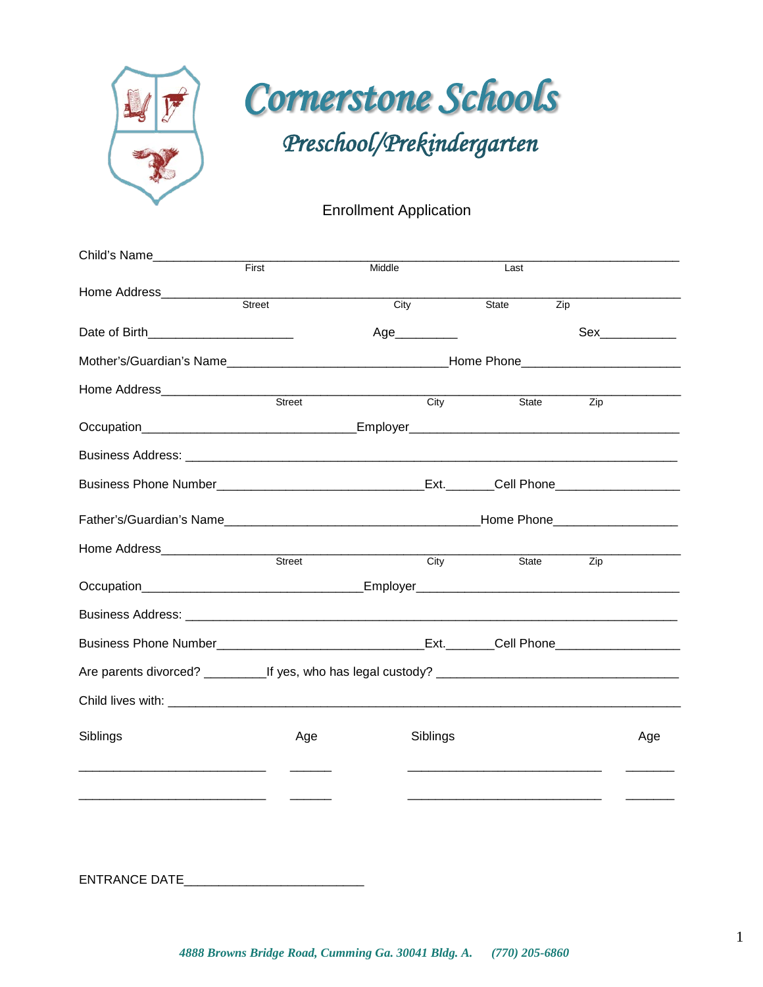

# Enrollment Application

| Child's Name____________                                                                            |               |        |          |                                                                                                                      |     |     |
|-----------------------------------------------------------------------------------------------------|---------------|--------|----------|----------------------------------------------------------------------------------------------------------------------|-----|-----|
|                                                                                                     | First         | Middle |          | Last                                                                                                                 |     |     |
| Home Address____________                                                                            |               |        |          |                                                                                                                      |     |     |
|                                                                                                     | Street        | City   |          | State<br>Zip                                                                                                         |     |     |
| Date of Birth ______________________                                                                |               |        | Age      |                                                                                                                      |     |     |
|                                                                                                     |               |        |          |                                                                                                                      |     |     |
| Home Address_____________________                                                                   |               |        |          |                                                                                                                      |     |     |
|                                                                                                     |               | Street | City     | State                                                                                                                | Zip |     |
|                                                                                                     |               |        |          |                                                                                                                      |     |     |
|                                                                                                     |               |        |          |                                                                                                                      |     |     |
| Business Phone Number___________________________________Ext._______Cell Phone______________________ |               |        |          |                                                                                                                      |     |     |
|                                                                                                     |               |        |          |                                                                                                                      |     |     |
|                                                                                                     |               |        |          |                                                                                                                      |     |     |
|                                                                                                     | Street        |        | City     | State Zip                                                                                                            |     |     |
|                                                                                                     |               |        |          |                                                                                                                      |     |     |
|                                                                                                     |               |        |          |                                                                                                                      |     |     |
|                                                                                                     |               |        |          |                                                                                                                      |     |     |
|                                                                                                     |               |        |          |                                                                                                                      |     |     |
|                                                                                                     |               |        |          |                                                                                                                      |     |     |
| Siblings                                                                                            | Age           |        | Siblings |                                                                                                                      |     | Age |
|                                                                                                     |               |        |          | <u> 1980 - Jan Barbara, martin da shekarar 1980 - Andrea Station and Barbara and Barbara and Barbara and Barbara</u> |     |     |
| <u> 1980 - Andrea Andrew Maria (h. 1980).</u>                                                       | $\frac{1}{2}$ |        |          |                                                                                                                      |     |     |
|                                                                                                     |               |        |          |                                                                                                                      |     |     |
|                                                                                                     |               |        |          |                                                                                                                      |     |     |

ENTRANCE DATE\_\_\_\_\_\_\_\_\_\_\_\_\_\_\_\_\_\_\_\_\_\_\_\_\_\_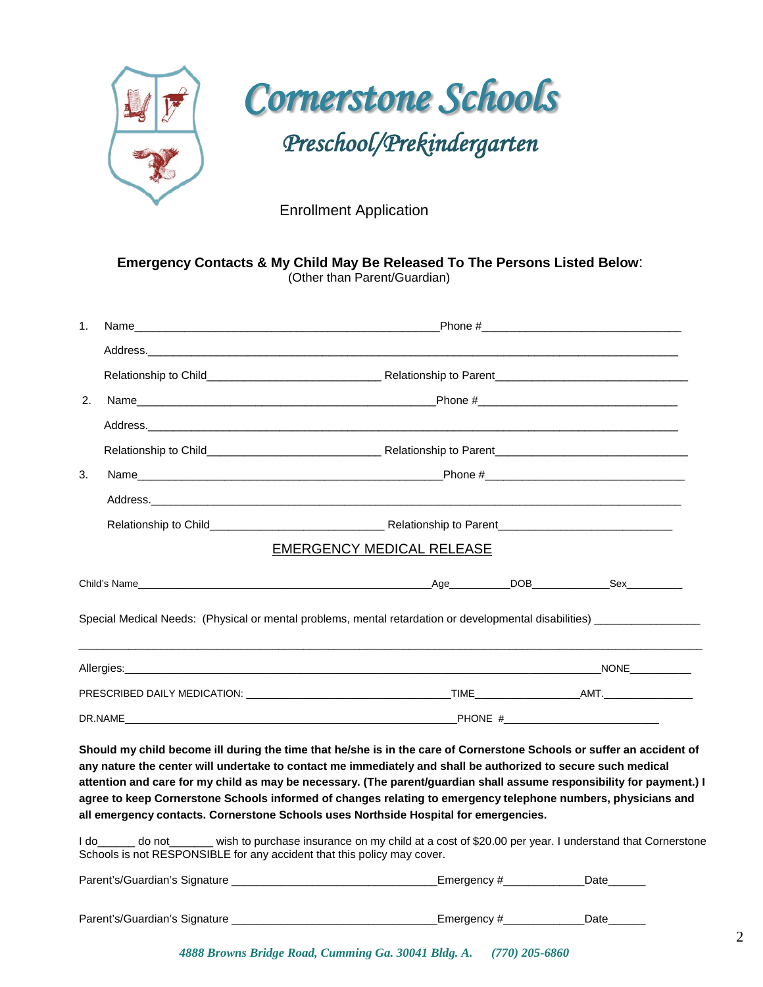



Enrollment Application

| 1 <sub>1</sub>                                                                                                       |                                                                                                                                                                                                                                |  |
|----------------------------------------------------------------------------------------------------------------------|--------------------------------------------------------------------------------------------------------------------------------------------------------------------------------------------------------------------------------|--|
|                                                                                                                      |                                                                                                                                                                                                                                |  |
|                                                                                                                      |                                                                                                                                                                                                                                |  |
| 2.                                                                                                                   |                                                                                                                                                                                                                                |  |
|                                                                                                                      |                                                                                                                                                                                                                                |  |
|                                                                                                                      |                                                                                                                                                                                                                                |  |
| 3.                                                                                                                   | Name Phone # Phone # Phone # Phone # Phone # Phone # Phone # Phone # Phone # Phone # Phone # Phone # Phone # Phone # Phone # Phone # Phone # Phone # Phone # Phone # Phone # Phone # Phone # Phone # Phone # Phone # Phone # P |  |
|                                                                                                                      |                                                                                                                                                                                                                                |  |
|                                                                                                                      |                                                                                                                                                                                                                                |  |
|                                                                                                                      | <b>EMERGENCY MEDICAL RELEASE</b>                                                                                                                                                                                               |  |
|                                                                                                                      |                                                                                                                                                                                                                                |  |
| Special Medical Needs: (Physical or mental problems, mental retardation or developmental disabilities) _____________ |                                                                                                                                                                                                                                |  |
|                                                                                                                      |                                                                                                                                                                                                                                |  |
|                                                                                                                      |                                                                                                                                                                                                                                |  |

**attention and care for my child as may be necessary. (The parent/guardian shall assume responsibility for payment.) I agree to keep Cornerstone Schools informed of changes relating to emergency telephone numbers, physicians and all emergency contacts. Cornerstone Schools uses Northside Hospital for emergencies.** 

I do\_\_\_\_\_\_ do not\_\_\_\_\_\_\_ wish to purchase insurance on my child at a cost of \$20.00 per year. I understand that Cornerstone Schools is not RESPONSIBLE for any accident that this policy may cover.

| Parent's/Guardian's Signature | Emergency # |      |  |
|-------------------------------|-------------|------|--|
|                               |             |      |  |
| Parent's/Guardian's Signature | Emergency#  | Date |  |

 *4888 Browns Bridge Road, Cumming Ga. 30041 Bldg. A. (770) 205-6860*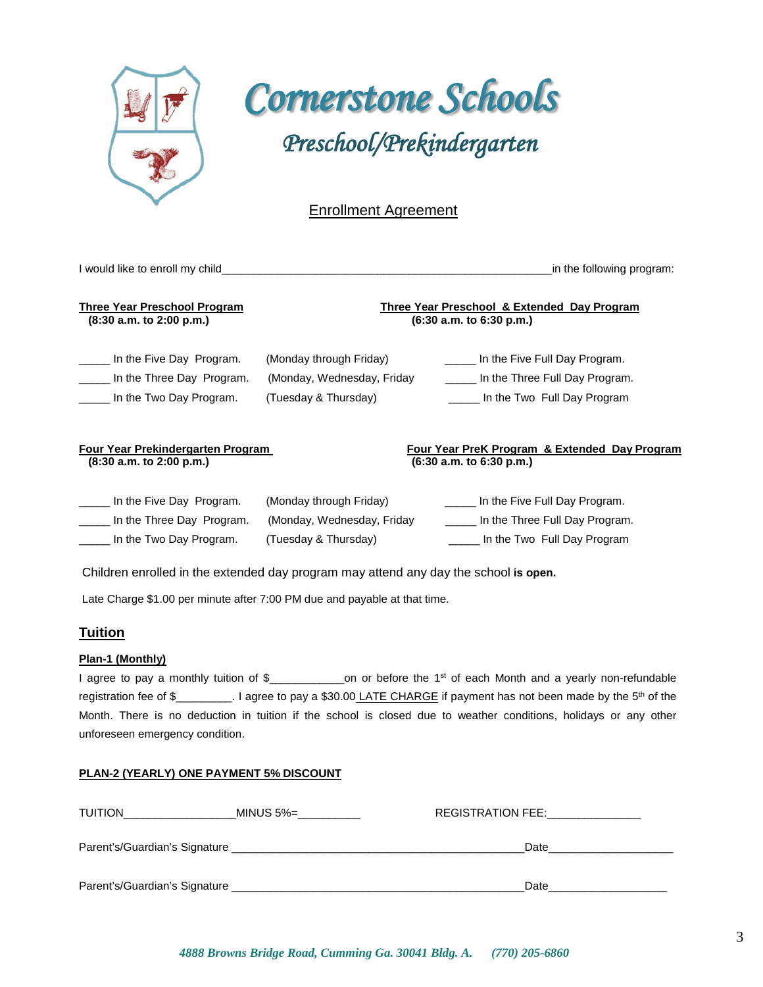

 *Cornerstone Schools Preschool/Prekindergarten* 

# Enrollment Agreement

| I would like to enroll my child_                                                 |                                                                                | in the following program:                                                                      |
|----------------------------------------------------------------------------------|--------------------------------------------------------------------------------|------------------------------------------------------------------------------------------------|
| Three Year Preschool Program<br>(8:30 a.m. to 2:00 p.m.)                         |                                                                                | Three Year Preschool & Extended Day Program<br>(6:30 a.m. to 6:30 p.m.)                        |
| In the Five Day Program.<br>In the Three Day Program.<br>In the Two Day Program. | (Monday through Friday)<br>(Monday, Wednesday, Friday)<br>(Tuesday & Thursday) | In the Five Full Day Program.<br>In the Three Full Day Program.<br>In the Two Full Day Program |
| Four Year Prekindergarten Program<br>(8:30 a.m. to 2:00 p.m.)                    |                                                                                | Four Year PreK Program & Extended Day Program<br>(6:30 a.m. to 6:30 p.m.)                      |

| In the Five Day Program.  | (Monday through Friday)     | In the Five Full Day Program.  |
|---------------------------|-----------------------------|--------------------------------|
| In the Three Day Program. | (Monday, Wednesday, Friday) | In the Three Full Day Program. |
| In the Two Day Program.   | (Tuesday & Thursday)        | In the Two Full Day Program    |

Children enrolled in the extended day program may attend any day the school **is open.**

Late Charge \$1.00 per minute after 7:00 PM due and payable at that time.

## **Tuition**

#### **Plan-1 (Monthly)**

I agree to pay a monthly tuition of \$\_\_\_\_\_\_\_\_\_\_\_\_\_on or before the 1<sup>st</sup> of each Month and a yearly non-refundable registration fee of \$\_\_\_\_\_\_\_\_. I agree to pay a \$30.00 LATE CHARGE if payment has not been made by the 5<sup>th</sup> of the Month. There is no deduction in tuition if the school is closed due to weather conditions, holidays or any other unforeseen emergency condition.

#### **PLAN-2 (YEARLY) ONE PAYMENT 5% DISCOUNT**

| <b>TUITION</b>                | MINUS 5%= | <b>REGISTRATION FEE:</b> |      |
|-------------------------------|-----------|--------------------------|------|
| Parent's/Guardian's Signature |           |                          | Date |
| Parent's/Guardian's Signature |           |                          | Date |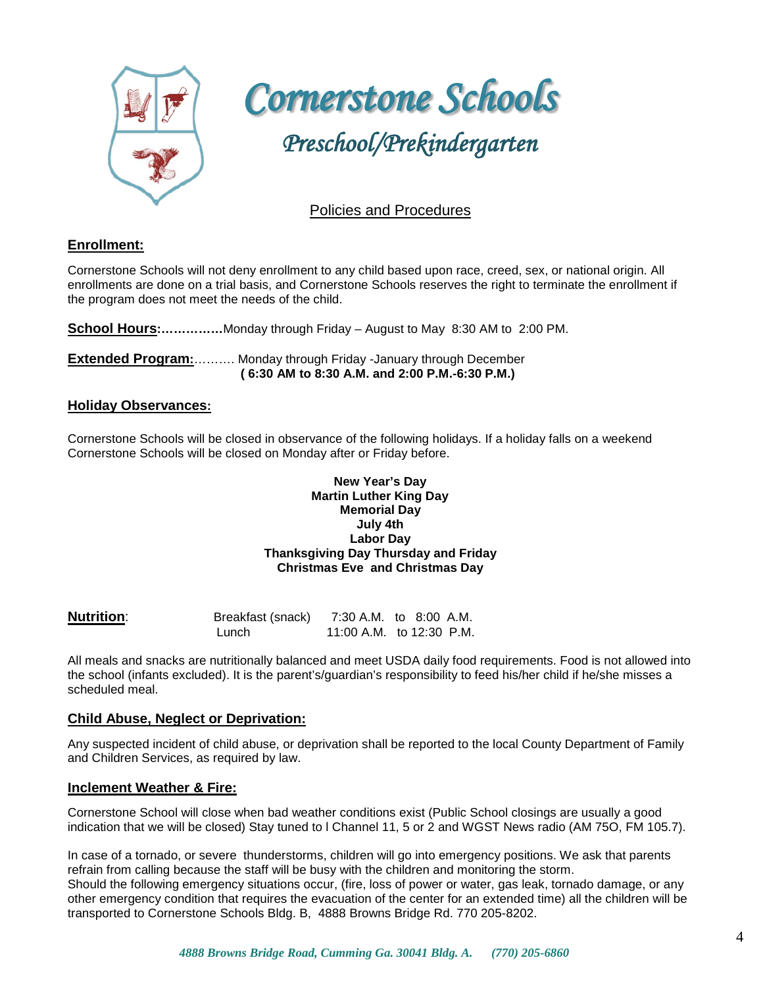

 *Cornerstone Schools Preschool/Prekindergarten* 

## Policies and Procedures

#### **Enrollment:**

Ξ Cornerstone Schools will not deny enrollment to any child based upon race, creed, sex, or national origin. All enrollments are done on a trial basis, and Cornerstone Schools reserves the right to terminate the enrollment if the program does not meet the needs of the child.

**School Hours:……………**Monday through Friday – August to May 8:30 AM to 2:00 PM.

**Extended Program:**………. Monday through Friday -January through December **( 6:30 AM to 8:30 A.M. and 2:00 P.M.-6:30 P.M.)**

#### **Holiday Observances:**

Cornerstone Schools will be closed in observance of the following holidays. If a holiday falls on a weekend Cornerstone Schools will be closed on Monday after or Friday before.

#### **New Year's Day Martin Luther King Day Memorial Day July 4th Labor Day Thanksgiving Day Thursday and Friday Christmas Eve and Christmas Day**

| <b>Nutrition:</b> | Breakfast (snack) | 7:30 A.M. to 8:00 A.M.   |  |  |
|-------------------|-------------------|--------------------------|--|--|
|                   | Lunch             | 11:00 A.M. to 12:30 P.M. |  |  |

All meals and snacks are nutritionally balanced and meet USDA daily food requirements. Food is not allowed into the school (infants excluded). It is the parent's/guardian's responsibility to feed his/her child if he/she misses a scheduled meal.

#### **Child Abuse, Neglect or Deprivation:**

Any suspected incident of child abuse, or deprivation shall be reported to the local County Department of Family and Children Services, as required by law.

#### **Inclement Weather & Fire:**

Cornerstone School will close when bad weather conditions exist (Public School closings are usually a good indication that we will be closed) Stay tuned to l Channel 11, 5 or 2 and WGST News radio (AM 75O, FM 105.7).

In case of a tornado, or severe thunderstorms, children will go into emergency positions. We ask that parents refrain from calling because the staff will be busy with the children and monitoring the storm. Should the following emergency situations occur, (fire, loss of power or water, gas leak, tornado damage, or any other emergency condition that requires the evacuation of the center for an extended time) all the children will be transported to Cornerstone Schools Bldg. B, 4888 Browns Bridge Rd. 770 205-8202.